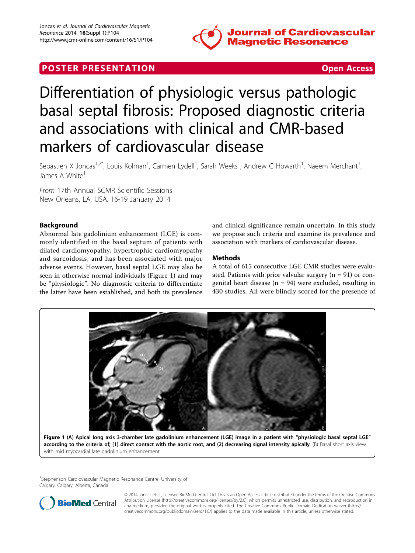

# <span id="page-0-0"></span>**POSTER PRESENTATION CONSUMING THE SECOND CONSUMING THE SECOND CONSUMING THE SECOND CONSUMING THE SECOND CONSUMING THE SECOND CONSUMING THE SECOND CONSUMING THE SECOND CONSUMING THE SECOND CONSUMING THE SECOND CONSUMING**



# Differentiation of physiologic versus pathologic basal septal fibrosis: Proposed diagnostic criteria and associations with clinical and CMR-based markers of cardiovascular disease

Sebastien X Joncas<sup>1,2\*</sup>, Louis Kolman<sup>1</sup>, Carmen Lydell<sup>1</sup>, Sarah Weeks<sup>1</sup>, Andrew G Howarth<sup>1</sup>, Naeem Merchant<sup>1</sup> , James A White<sup>1</sup>

From 17th Annual SCMR Scientific Sessions New Orleans, LA, USA. 16-19 January 2014

# Background

Abnormal late gadolinium enhancement (LGE) is commonly identified in the basal septum of patients with dilated cardiomyopathy, hypertrophic cardiomyopathy and sarcoidosis, and has been associated with major adverse events. However, basal septal LGE may also be seen in otherwise normal individuals (Figure 1) and may be "physiologic". No diagnostic criteria to differentiate the latter have been established, and both its prevalence

and clinical significance remain uncertain. In this study we propose such criteria and examine its prevalence and association with markers of cardiovascular disease.

# Methods

A total of 615 consecutive LGE CMR studies were evaluated. Patients with prior valvular surgery  $(n = 91)$  or congenital heart disease ( $n = 94$ ) were excluded, resulting in 430 studies. All were blindly scored for the presence of



<sup>1</sup>Stephenson Cardiovascular Magnetic Resonance Centre, University of Calgary, Calgary, Alberta, Canada



© 2014 Joncas et al.; licensee BioMed Central Ltd. This is an Open Access article distributed under the terms of the Creative Commons Attribution License [\(http://creativecommons.org/licenses/by/2.0](http://creativecommons.org/licenses/by/2.0)), which permits unrestricted use, distribution, and reproduction in any medium, provided the original work is properly cited. The Creative Commons Public Domain Dedication waiver [\(http://](http://creativecommons.org/publicdomain/zero/1.0/) [creativecommons.org/publicdomain/zero/1.0/](http://creativecommons.org/publicdomain/zero/1.0/)) applies to the data made available in this article, unless otherwise stated.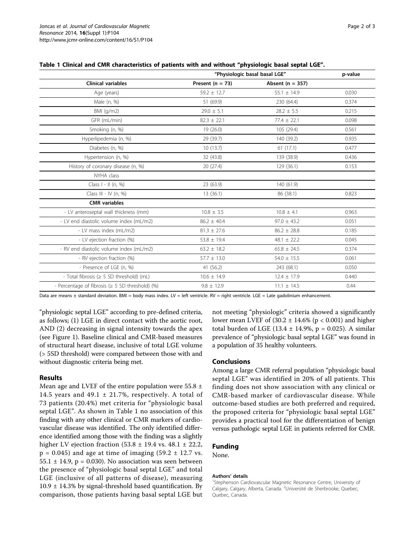| Table 1 Clinical and CMR characteristics of patients with and without "physiologic basal septal LGE". |  |
|-------------------------------------------------------------------------------------------------------|--|
|-------------------------------------------------------------------------------------------------------|--|

|                                                       | "Physiologic basal basal LGE" |                      | p-value |
|-------------------------------------------------------|-------------------------------|----------------------|---------|
| <b>Clinical variables</b>                             | Present ( $n = 73$ )          | Absent ( $n = 357$ ) |         |
| Age (years)                                           | $59.2 \pm 12.7$               | 55.1 $\pm$ 14.9      | 0.030   |
| Male (n, %)                                           | 51 (69.9)                     | 230 (64.4)           | 0.374   |
| BM (q/m2)                                             | $29.0 \pm 5.1$                | $28.2 \pm 5.5$       | 0.215   |
| GFR (mL/min)                                          | $82.3 \pm 22.1$               | $77.4 \pm 22.1$      | 0.098   |
| Smoking (n, %)                                        | 19(26.0)                      | 105 (29.4)           | 0.561   |
| Hyperlipedemia (n, %)                                 | 29 (39.7)                     | 140 (39.2)           | 0.935   |
| Diabetes (n, %)                                       | 10(13.7)                      | 61(17.1)             | 0.477   |
| Hypertension (n, %)                                   | 32 (43.8)                     | 139 (38.9)           | 0.436   |
| History of coronary disease (n, %)                    | 20(27.4)                      | 129 (36.1)           | 0.153   |
| NYHA class                                            |                               |                      |         |
| Class $I - II$ (n, %)                                 | 23 (63.9)                     | 140 (61.9)           |         |
| Class III - IV $(n, %)$                               | 13(36.1)                      | 86 (38.1)            | 0.823   |
| <b>CMR</b> variables                                  |                               |                      |         |
| - LV anteroseptal wall thickness (mm)                 | $10.8 \pm 3.5$                | $10.8 \pm 4.1$       | 0.963   |
| - LV end diastolic volume index (mL/m2)               | $86.2 \pm 40.4$               | $97.0 \pm 43.2$      | 0.051   |
| - LV mass index (mL/m2)                               | $81.3 \pm 27.6$               | $86.2 \pm 28.8$      | 0.185   |
| - LV ejection fraction (%)                            | $53.8 \pm 19.4$               | 48.1 $\pm$ 22.2      | 0.045   |
| - RV end diastolic volume index (mL/m2)               | $63.2 \pm 18.2$               | $65.8 \pm 24.5$      | 0.374   |
| - RV ejection fraction (%)                            | $57.7 \pm 13.0$               | $54.0 \pm 15.5$      | 0.061   |
| - Presence of LGE (n, %)                              | 41 (56.2)                     | 243 (68.1)           | 0.050   |
| - Total fibrosis ( $\geq$ 5 SD threshold) (mL)        | $10.6 \pm 14.9$               | $12.4 \pm 17.9$      | 0.440   |
| - Percentage of fibrosis ( $\geq$ 5 SD threshold) (%) | $9.8 \pm 12.9$                | $11.1 \pm 14.5$      | 0.44    |

Data are means  $\pm$  standard deviation. BMI = body mass index. LV = left ventricle. RV = right ventricle. LGE = Late gadolinium enhancement.

"physiologic septal LGE" according to pre-defined criteria, as follows; (1) LGE in direct contact with the aortic root, AND (2) decreasing in signal intensity towards the apex (see Figure [1\)](#page-0-0). Baseline clinical and CMR-based measures of structural heart disease, inclusive of total LGE volume (> 5SD threshold) were compared between those with and without diagnostic criteria being met.

#### Results

Mean age and LVEF of the entire population were  $55.8 \pm$ 14.5 years and 49.1  $\pm$  21.7%, respectively. A total of 73 patients (20.4%) met criteria for "physiologic basal septal LGE". As shown in Table 1 no association of this finding with any other clinical or CMR markers of cardiovascular disease was identified. The only identified difference identified among those with the finding was a slightly higher LV ejection fraction  $(53.8 \pm 19.4 \text{ vs. } 48.1 \pm 22.2,$  $p = 0.045$ ) and age at time of imaging (59.2  $\pm$  12.7 vs. 55.1  $\pm$  14.9, p = 0.030). No association was seen between the presence of "physiologic basal septal LGE" and total LGE (inclusive of all patterns of disease), measuring  $10.9 \pm 14.3\%$  by signal-threshold based quantification. By comparison, those patients having basal septal LGE but

not meeting "physiologic" criteria showed a significantly lower mean LVEF of  $(30.2 \pm 14.6\%$  (p < 0.001) and higher total burden of LGE (13.4  $\pm$  14.9%, p = 0.025). A similar prevalence of "physiologic basal septal LGE" was found in a population of 35 healthy volunteers.

#### Conclusions

Among a large CMR referral population "physiologic basal septal LGE" was identified in 20% of all patients. This finding does not show association with any clinical or CMR-based marker of cardiovascular disease. While outcome-based studies are both preferred and required, the proposed criteria for "physiologic basal septal LGE" provides a practical tool for the differentiation of benign versus pathologic septal LGE in patients referred for CMR.

### Funding

None.

#### Authors' details <sup>1</sup>

<sup>1</sup>Stephenson Cardiovascular Magnetic Resonance Centre, University of Calgary, Calgary, Alberta, Canada. <sup>2</sup>Université de Sherbrooke, Quebec, Quebec, Canada.